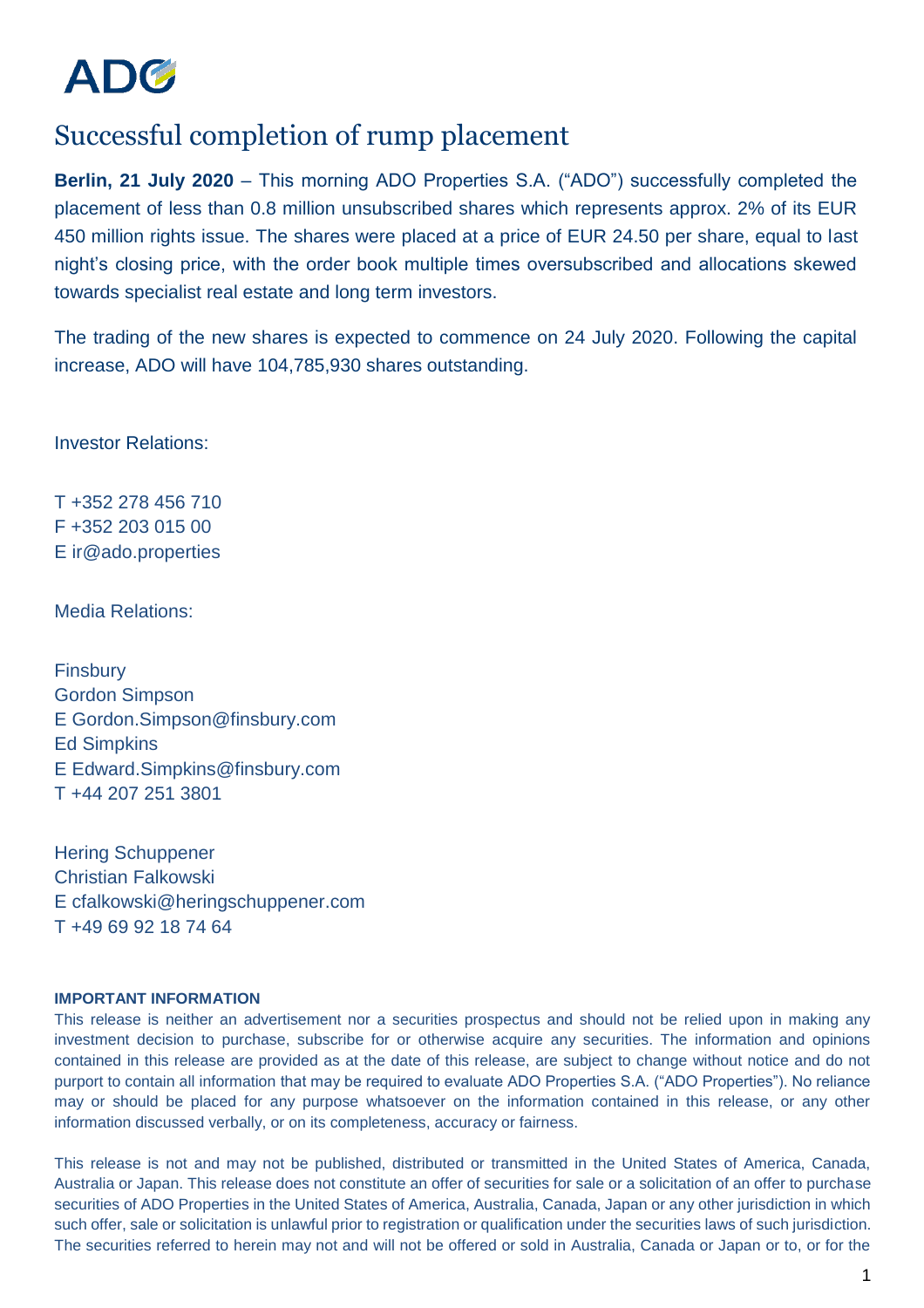

## Successful completion of rump placement

**Berlin, 21 July 2020** – This morning ADO Properties S.A. ("ADO") successfully completed the placement of less than 0.8 million unsubscribed shares which represents approx. 2% of its EUR 450 million rights issue. The shares were placed at a price of EUR 24.50 per share, equal to last night's closing price, with the order book multiple times oversubscribed and allocations skewed towards specialist real estate and long term investors.

The trading of the new shares is expected to commence on 24 July 2020. Following the capital increase, ADO will have 104,785,930 shares outstanding.

Investor Relations:

T +352 278 456 710 F +352 203 015 00 E ir@ado.properties

Media Relations:

**Finsbury** Gordon Simpson E Gordon.Simpson@finsbury.com Ed Simpkins E Edward.Simpkins@finsbury.com T +44 207 251 3801

Hering Schuppener Christian Falkowski E cfalkowski@heringschuppener.com T +49 69 92 18 74 64

## **IMPORTANT INFORMATION**

This release is neither an advertisement nor a securities prospectus and should not be relied upon in making any investment decision to purchase, subscribe for or otherwise acquire any securities. The information and opinions contained in this release are provided as at the date of this release, are subject to change without notice and do not purport to contain all information that may be required to evaluate ADO Properties S.A. ("ADO Properties"). No reliance may or should be placed for any purpose whatsoever on the information contained in this release, or any other information discussed verbally, or on its completeness, accuracy or fairness.

This release is not and may not be published, distributed or transmitted in the United States of America, Canada, Australia or Japan. This release does not constitute an offer of securities for sale or a solicitation of an offer to purchase securities of ADO Properties in the United States of America, Australia, Canada, Japan or any other jurisdiction in which such offer, sale or solicitation is unlawful prior to registration or qualification under the securities laws of such jurisdiction. The securities referred to herein may not and will not be offered or sold in Australia, Canada or Japan or to, or for the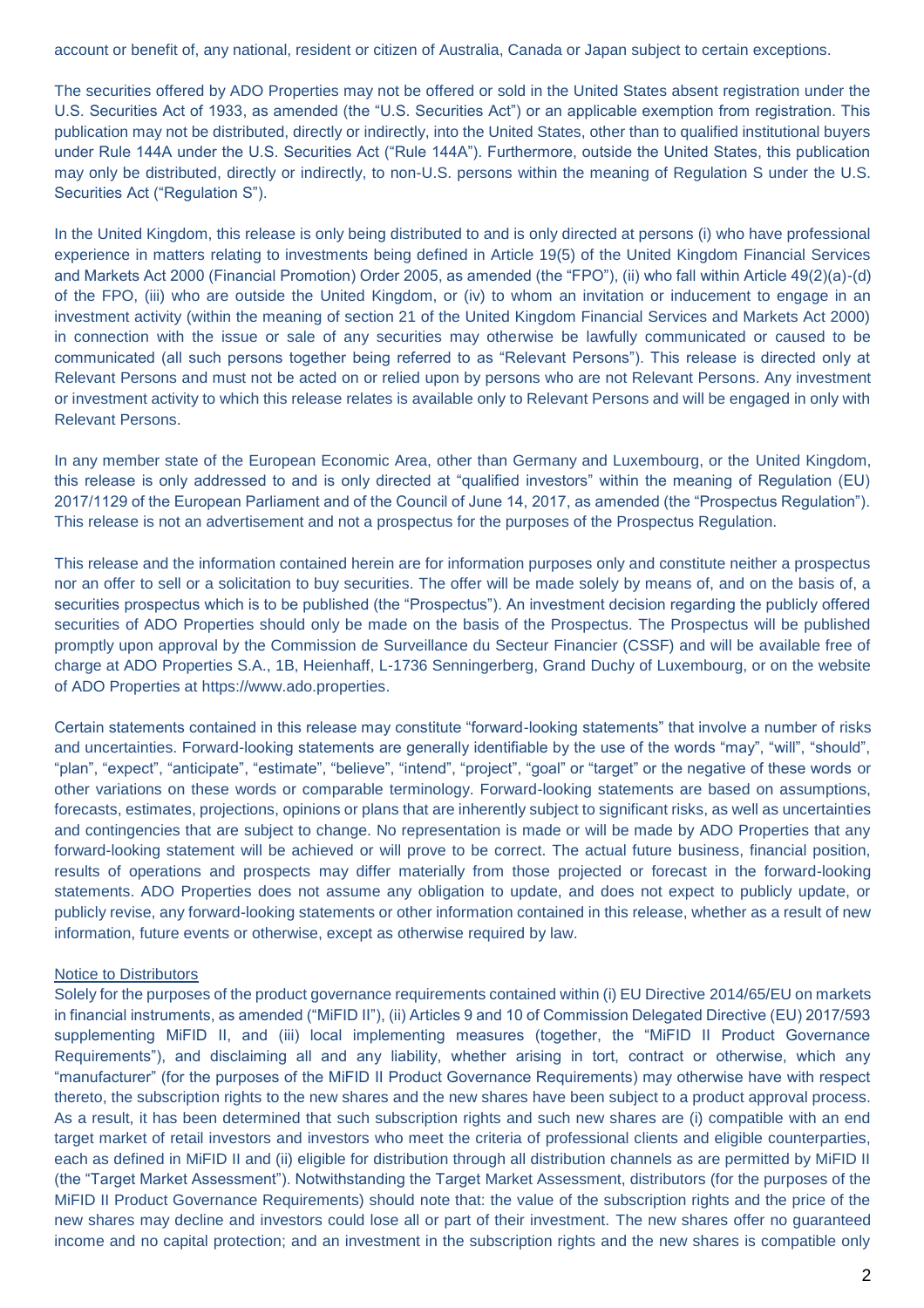account or benefit of, any national, resident or citizen of Australia, Canada or Japan subject to certain exceptions.

The securities offered by ADO Properties may not be offered or sold in the United States absent registration under the U.S. Securities Act of 1933, as amended (the "U.S. Securities Act") or an applicable exemption from registration. This publication may not be distributed, directly or indirectly, into the United States, other than to qualified institutional buyers under Rule 144A under the U.S. Securities Act ("Rule 144A"). Furthermore, outside the United States, this publication may only be distributed, directly or indirectly, to non-U.S. persons within the meaning of Regulation S under the U.S. Securities Act ("Regulation S").

In the United Kingdom, this release is only being distributed to and is only directed at persons (i) who have professional experience in matters relating to investments being defined in Article 19(5) of the United Kingdom Financial Services and Markets Act 2000 (Financial Promotion) Order 2005, as amended (the "FPO"), (ii) who fall within Article 49(2)(a)-(d) of the FPO, (iii) who are outside the United Kingdom, or (iv) to whom an invitation or inducement to engage in an investment activity (within the meaning of section 21 of the United Kingdom Financial Services and Markets Act 2000) in connection with the issue or sale of any securities may otherwise be lawfully communicated or caused to be communicated (all such persons together being referred to as "Relevant Persons"). This release is directed only at Relevant Persons and must not be acted on or relied upon by persons who are not Relevant Persons. Any investment or investment activity to which this release relates is available only to Relevant Persons and will be engaged in only with Relevant Persons.

In any member state of the European Economic Area, other than Germany and Luxembourg, or the United Kingdom, this release is only addressed to and is only directed at "qualified investors" within the meaning of Regulation (EU) 2017/1129 of the European Parliament and of the Council of June 14, 2017, as amended (the "Prospectus Regulation"). This release is not an advertisement and not a prospectus for the purposes of the Prospectus Regulation.

This release and the information contained herein are for information purposes only and constitute neither a prospectus nor an offer to sell or a solicitation to buy securities. The offer will be made solely by means of, and on the basis of, a securities prospectus which is to be published (the "Prospectus"). An investment decision regarding the publicly offered securities of ADO Properties should only be made on the basis of the Prospectus. The Prospectus will be published promptly upon approval by the Commission de Surveillance du Secteur Financier (CSSF) and will be available free of charge at ADO Properties S.A., 1B, Heienhaff, L-1736 Senningerberg, Grand Duchy of Luxembourg, or on the website of ADO Properties at https://www.ado.properties.

Certain statements contained in this release may constitute "forward-looking statements" that involve a number of risks and uncertainties. Forward-looking statements are generally identifiable by the use of the words "may", "will", "should", "plan", "expect", "anticipate", "estimate", "believe", "intend", "project", "goal" or "target" or the negative of these words or other variations on these words or comparable terminology. Forward-looking statements are based on assumptions, forecasts, estimates, projections, opinions or plans that are inherently subject to significant risks, as well as uncertainties and contingencies that are subject to change. No representation is made or will be made by ADO Properties that any forward-looking statement will be achieved or will prove to be correct. The actual future business, financial position, results of operations and prospects may differ materially from those projected or forecast in the forward-looking statements. ADO Properties does not assume any obligation to update, and does not expect to publicly update, or publicly revise, any forward-looking statements or other information contained in this release, whether as a result of new information, future events or otherwise, except as otherwise required by law.

## Notice to Distributors

Solely for the purposes of the product governance requirements contained within (i) EU Directive 2014/65/EU on markets in financial instruments, as amended ("MiFID II"), (ii) Articles 9 and 10 of Commission Delegated Directive (EU) 2017/593 supplementing MiFID II, and (iii) local implementing measures (together, the "MiFID II Product Governance Requirements"), and disclaiming all and any liability, whether arising in tort, contract or otherwise, which any "manufacturer" (for the purposes of the MiFID II Product Governance Requirements) may otherwise have with respect thereto, the subscription rights to the new shares and the new shares have been subject to a product approval process. As a result, it has been determined that such subscription rights and such new shares are (i) compatible with an end target market of retail investors and investors who meet the criteria of professional clients and eligible counterparties, each as defined in MiFID II and (ii) eligible for distribution through all distribution channels as are permitted by MiFID II (the "Target Market Assessment"). Notwithstanding the Target Market Assessment, distributors (for the purposes of the MiFID II Product Governance Requirements) should note that: the value of the subscription rights and the price of the new shares may decline and investors could lose all or part of their investment. The new shares offer no guaranteed income and no capital protection; and an investment in the subscription rights and the new shares is compatible only